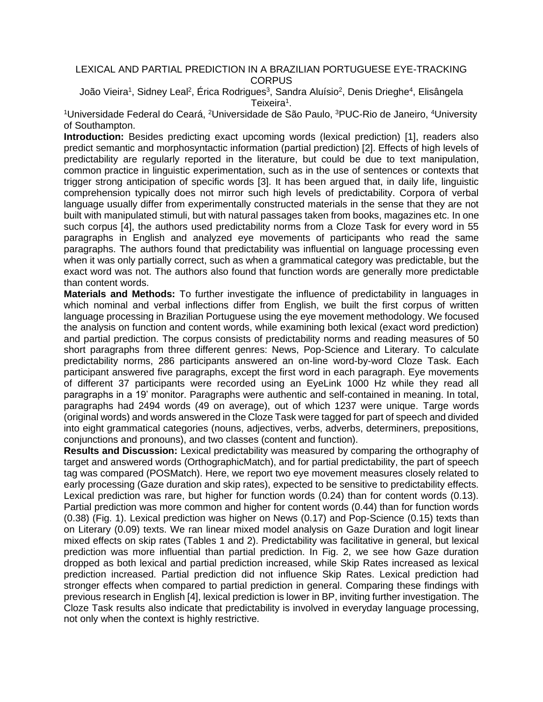## LEXICAL AND PARTIAL PREDICTION IN A BRAZILIAN PORTUGUESE EYE-TRACKING **CORPUS**

João Vieira<sup>1</sup>, Sidney Leal<sup>2</sup>, Érica Rodrigues<sup>3</sup>, Sandra Aluísio<sup>2</sup>, Denis Drieghe<sup>4</sup>, Elisângela Teixeira<sup>1</sup>.

<sup>1</sup>Universidade Federal do Ceará, <sup>2</sup>Universidade de São Paulo, <sup>3</sup>PUC-Rio de Janeiro, <sup>4</sup>University of Southampton.

**Introduction:** Besides predicting exact upcoming words (lexical prediction) [1], readers also predict semantic and morphosyntactic information (partial prediction) [2]. Effects of high levels of predictability are regularly reported in the literature, but could be due to text manipulation, common practice in linguistic experimentation, such as in the use of sentences or contexts that trigger strong anticipation of specific words [3]. It has been argued that, in daily life, linguistic comprehension typically does not mirror such high levels of predictability. Corpora of verbal language usually differ from experimentally constructed materials in the sense that they are not built with manipulated stimuli, but with natural passages taken from books, magazines etc. In one such corpus [4], the authors used predictability norms from a Cloze Task for every word in 55 paragraphs in English and analyzed eye movements of participants who read the same paragraphs. The authors found that predictability was influential on language processing even when it was only partially correct, such as when a grammatical category was predictable, but the exact word was not. The authors also found that function words are generally more predictable than content words.

**Materials and Methods:** To further investigate the influence of predictability in languages in which nominal and verbal inflections differ from English, we built the first corpus of written language processing in Brazilian Portuguese using the eye movement methodology. We focused the analysis on function and content words, while examining both lexical (exact word prediction) and partial prediction. The corpus consists of predictability norms and reading measures of 50 short paragraphs from three different genres: News, Pop-Science and Literary. To calculate predictability norms, 286 participants answered an on-line word-by-word Cloze Task. Each participant answered five paragraphs, except the first word in each paragraph. Eye movements of different 37 participants were recorded using an EyeLink 1000 Hz while they read all paragraphs in a 19' monitor. Paragraphs were authentic and self-contained in meaning. In total, paragraphs had 2494 words (49 on average), out of which 1237 were unique. Targe words (original words) and words answered in the Cloze Task were tagged for part of speech and divided into eight grammatical categories (nouns, adjectives, verbs, adverbs, determiners, prepositions, conjunctions and pronouns), and two classes (content and function).

**Results and Discussion:** Lexical predictability was measured by comparing the orthography of target and answered words (OrthographicMatch), and for partial predictability, the part of speech tag was compared (POSMatch). Here, we report two eye movement measures closely related to early processing (Gaze duration and skip rates), expected to be sensitive to predictability effects. Lexical prediction was rare, but higher for function words (0.24) than for content words (0.13). Partial prediction was more common and higher for content words (0.44) than for function words (0.38) (Fig. 1). Lexical prediction was higher on News (0.17) and Pop-Science (0.15) texts than on Literary (0.09) texts. We ran linear mixed model analysis on Gaze Duration and logit linear mixed effects on skip rates (Tables 1 and 2). Predictability was facilitative in general, but lexical prediction was more influential than partial prediction. In Fig. 2, we see how Gaze duration dropped as both lexical and partial prediction increased, while Skip Rates increased as lexical prediction increased. Partial prediction did not influence Skip Rates. Lexical prediction had stronger effects when compared to partial prediction in general. Comparing these findings with previous research in English [4], lexical prediction is lower in BP, inviting further investigation. The Cloze Task results also indicate that predictability is involved in everyday language processing, not only when the context is highly restrictive.